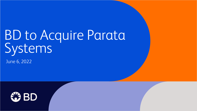# BD to Acquire Parata Systems

June 6, 2022

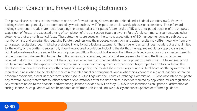# Caution Concerning Forward-Looking Statements

This press release contains certain estimates and other forward-looking statements (as defined under Federal securities laws). Forward looking statements generally are accompanied by words such as "will", "expect", or similar words, phrases or expressions. These forwardlooking statements include statements regarding the estimated or anticipated future results of BD and anticipated benefits of the proposed acquisition of Parata, the expected timing of completion of the transaction, future growth in Parata's relevant market segments, and other statements that are not historical facts. These statements are based on the current expectations of BD management and are subject to a number of risks and uncertainties regarding Parata's business and the proposed acquisition, and actual results may differ materially from any anticipated results described, implied or projected in any forward-looking statement. These risks and uncertainties include, but are not limited to, the ability of the parties to successfully close the proposed acquisition, including the risk that the required regulatory approvals are not obtained, are delayed or are subject to unanticipated conditions that could adversely affect the combined company or the expected benefits of the transaction; risks relating to the integration of Parata's operations, products and employees into BD and the time and resources required to do so and the possibility that the anticipated synergies and other benefits of the proposed acquisition will not be realized or will not be realized within the expected timeframe; the loss of key senior management or other associates; competitive factors, including the development of new technologies by other companies and pricing and market share pressures; changes in healthcare or other governmental regulation; risks relating to the ability to maintain favorable supplier arrangements and relationships; changes in regional, national or foreign economic conditions, as well as other factors discussed in BD's filings with the Securities Exchange Commission. BD does not intend to update any forward-looking statements to reflect events or circumstances after the date hereof, except as required by applicable laws or regulations. Any reference herein to the financial performance guidance provided by BD on May 5, 2022 is not intended as an update or affirmation of such guidance. Such guidance will not be updated or affirmed unless and until we publicly announce updated or affirmed guidance.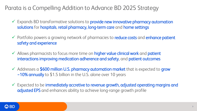## Parata is a Compelling Addition to Advance BD 2025 Strategy

- ✓ Expands BD transformative solutions to provide new innovative pharmacy automation solutions for hospitals, retail pharmacy, long-term care and home settings
- ✓ Portfolio powers a growing network of pharmacies to reduce costs and enhance patient safety and experience
- ✓ Allows pharmacists to focus more time on higher value clinical work and patient interactions improving medication adherence and safety, and patient outcomes
- $\checkmark$  Addresses a \$600 million U.S. pharmacy automation market that is expected to grow ~10% annually to \$1.5 billion in the U.S. alone over 10 years
- ✓ Expected to be immediately accretive to revenue growth, adjusted operating margins and adjusted EPS and enhances ability to achieve long-range growth profile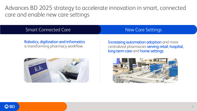Advances BD 2025 strategy to accelerate innovation in smart, connected care and enable new care settings

### Smart Connected Care New Care New Care Settings

### Robotics, digitization and informatics is transforming pharmacy workflow



Increasing automation adoption and more centralized pharmacies serving retail, hospital, long-term care and home settings

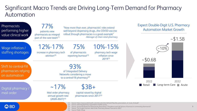### Significant Macro Trends are Driving Long-Term Demand for Pharmacy Automation

| Pharmacists<br>performing higher<br>value clinical work      | $77\%$<br>patients view<br>pharmacists as integral<br>part of the care team <sup>(1)</sup>                | "Now more than ever, pharmacists' roles extend<br>well-beyond dispensing drugsthe COVID vaccine<br>rollout through pharmacies is a great example"<br>-Manager of chain retail pharmacy                                                                                              | <b>Expect Double-Digit U.S. Pharmacy</b><br><b>Automation Market Growth</b><br>~1.5B |
|--------------------------------------------------------------|-----------------------------------------------------------------------------------------------------------|-------------------------------------------------------------------------------------------------------------------------------------------------------------------------------------------------------------------------------------------------------------------------------------|--------------------------------------------------------------------------------------|
| Wage inflation /<br>staffing shortages                       | $12\% - 17\%$<br>increase in pharmacy tech<br>attribution <sup>(2)</sup>                                  | 10%-15%<br>75%<br>of pharmacists<br>pharmacy tech wage<br>reporting burnout <sup>(3)</sup><br>inflation since<br>$2019^{(2)}$                                                                                                                                                       | 10%<br>~50.6B                                                                        |
| Shift to central-fill<br>pharmacies relying<br>on automation | 93%<br>of Integrated Delivery<br>Networks considering a move<br>to a central-fill pharmacy <sup>(2)</sup> |                                                                                                                                                                                                                                                                                     |                                                                                      |
| Digital pharmacy /<br>mail order                             | $~17\%$<br>Mail order pharmacy<br>annual growth rate<br>$(2020-2027)^{(4)}$                               | $$3B+$<br>capital raised by digital<br>pharmacies since 2017 <sup>(5)</sup>                                                                                                                                                                                                         | 2022<br>2032<br>Long-term Care <b>Acute</b><br><b>Retail</b>                         |
| AZ DN                                                        |                                                                                                           | (1) Source: https://www.publichealth.columbia.edu/sites/default/files/the_prescription_of_trust_final.pdf<br>(2) Source: Internal pharmacy automation market survey<br>"Description of the district functions of because of the company of the contract of the state of the company |                                                                                      |

(3) Source: Journal Of American Pharmacists Association: "Prevalence and risk factors of burnout in community pharmacists" (4) Source: The Insight Partners: Mail Order Pharmacy Market Forecast to 2027

(5) Source: Public filings

 $\boldsymbol{\omega}$  DU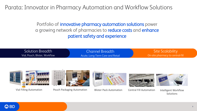Parata: Innovator in Pharmacy Automation and Workflow Solutions

Portfolio of *innovative* pharmacy automation solutions power a growing network of pharmacies to **reduce costs** and **enhance** patient safety and experience

| Solution Breadth               | <b>Channel Breadth</b>           | Site Scalability                 |
|--------------------------------|----------------------------------|----------------------------------|
| Vial, Pouch, Blister, Workflow | Acute, Long-Term Care and Retail | On-site pharmacy to central-fill |





Vial Filling Automation Pouch Packaging Automation Blister Pack Automation Central Fill Automation Intelligent Workflow







**Solutions**